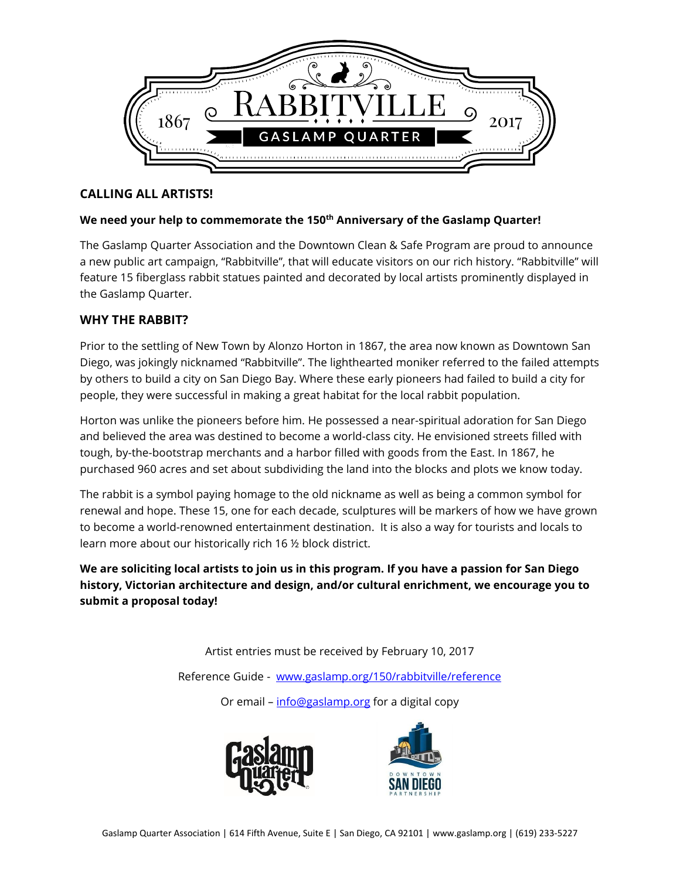

## **CALLING ALL ARTISTS!**

### **We need your help to commemorate the 150th Anniversary of the Gaslamp Quarter!**

The Gaslamp Quarter Association and the Downtown Clean & Safe Program are proud to announce a new public art campaign, "Rabbitville", that will educate visitors on our rich history. "Rabbitville" will feature 15 fiberglass rabbit statues painted and decorated by local artists prominently displayed in the Gaslamp Quarter.

# **WHY THE RABBIT?**

Prior to the settling of New Town by Alonzo Horton in 1867, the area now known as Downtown San Diego, was jokingly nicknamed "Rabbitville". The lighthearted moniker referred to the failed attempts by others to build a city on San Diego Bay. Where these early pioneers had failed to build a city for people, they were successful in making a great habitat for the local rabbit population.

Horton was unlike the pioneers before him. He possessed a near-spiritual adoration for San Diego and believed the area was destined to become a world-class city. He envisioned streets filled with tough, by-the-bootstrap merchants and a harbor filled with goods from the East. In 1867, he purchased 960 acres and set about subdividing the land into the blocks and plots we know today.

The rabbit is a symbol paying homage to the old nickname as well as being a common symbol for renewal and hope. These 15, one for each decade, sculptures will be markers of how we have grown to become a world-renowned entertainment destination. It is also a way for tourists and locals to learn more about our historically rich 16 ½ block district.

**We are soliciting local artists to join us in this program. If you have a passion for San Diego history, Victorian architecture and design, and/or cultural enrichment, we encourage you to submit a proposal today!**

> Artist entries must be received by February 10, 2017 Reference Guide - [www.gaslamp.org/150/rabbitville/reference](http://www.gaslamp.org/150/rabbitville/reference)

> > Or email – [info@gaslamp.org](mailto:info@gaslamp.org) for a digital copy



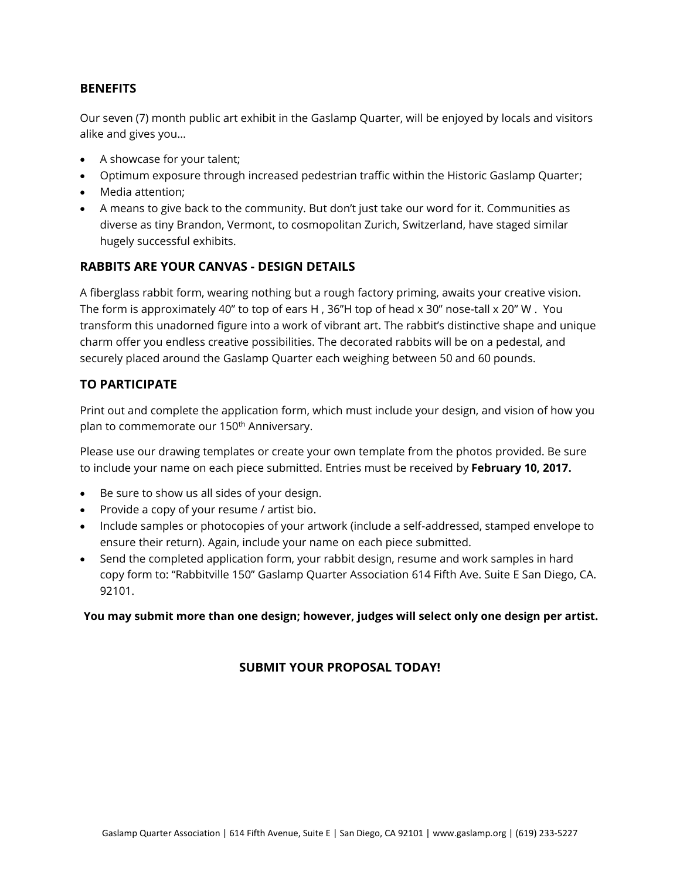### **BENEFITS**

Our seven (7) month public art exhibit in the Gaslamp Quarter, will be enjoyed by locals and visitors alike and gives you…

- A showcase for your talent;
- Optimum exposure through increased pedestrian traffic within the Historic Gaslamp Quarter;
- Media attention;
- A means to give back to the community. But don't just take our word for it. Communities as diverse as tiny Brandon, Vermont, to cosmopolitan Zurich, Switzerland, have staged similar hugely successful exhibits.

### **RABBITS ARE YOUR CANVAS - DESIGN DETAILS**

A fiberglass rabbit form, wearing nothing but a rough factory priming, awaits your creative vision. The form is approximately 40" to top of ears H , 36"H top of head x 30" nose-tall x 20" W . You transform this unadorned figure into a work of vibrant art. The rabbit's distinctive shape and unique charm offer you endless creative possibilities. The decorated rabbits will be on a pedestal, and securely placed around the Gaslamp Quarter each weighing between 50 and 60 pounds.

## **TO PARTICIPATE**

Print out and complete the application form, which must include your design, and vision of how you plan to commemorate our 150<sup>th</sup> Anniversary.

Please use our drawing templates or create your own template from the photos provided. Be sure to include your name on each piece submitted. Entries must be received by **February 10, 2017.**

- Be sure to show us all sides of your design.
- Provide a copy of your resume / artist bio.
- Include samples or photocopies of your artwork (include a self-addressed, stamped envelope to ensure their return). Again, include your name on each piece submitted.
- Send the completed application form, your rabbit design, resume and work samples in hard copy form to: "Rabbitville 150" Gaslamp Quarter Association 614 Fifth Ave. Suite E San Diego, CA. 92101.

#### **You may submit more than one design; however, judges will select only one design per artist.**

# **SUBMIT YOUR PROPOSAL TODAY!**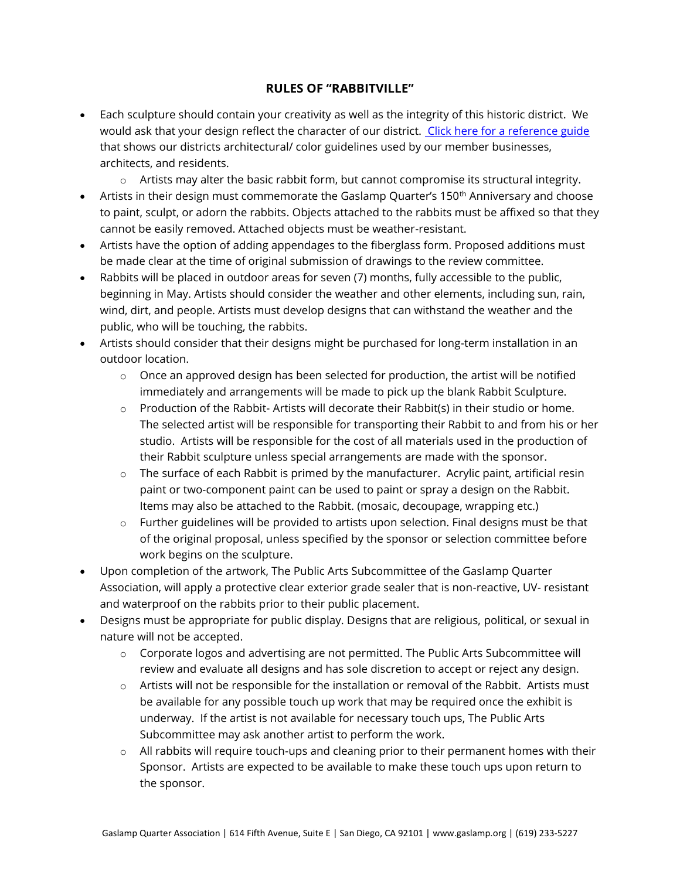## **RULES OF "RABBITVILLE"**

- Each sculpture should contain your creativity as well as the integrity of this historic district. We would ask that your design reflect the character of our district. [Click here for a reference guide](http://www.gaslamp.org/150/rabbitville/reference) that shows our districts architectural/ color guidelines used by our member businesses, architects, and residents.
	- $\circ$  Artists may alter the basic rabbit form, but cannot compromise its structural integrity.
- Artists in their design must commemorate the Gaslamp Quarter's 150<sup>th</sup> Anniversary and choose to paint, sculpt, or adorn the rabbits. Objects attached to the rabbits must be affixed so that they cannot be easily removed. Attached objects must be weather-resistant.
- Artists have the option of adding appendages to the fiberglass form. Proposed additions must be made clear at the time of original submission of drawings to the review committee.
- Rabbits will be placed in outdoor areas for seven (7) months, fully accessible to the public, beginning in May. Artists should consider the weather and other elements, including sun, rain, wind, dirt, and people. Artists must develop designs that can withstand the weather and the public, who will be touching, the rabbits.
- Artists should consider that their designs might be purchased for long-term installation in an outdoor location.
	- $\circ$  Once an approved design has been selected for production, the artist will be notified immediately and arrangements will be made to pick up the blank Rabbit Sculpture.
	- o Production of the Rabbit- Artists will decorate their Rabbit(s) in their studio or home. The selected artist will be responsible for transporting their Rabbit to and from his or her studio. Artists will be responsible for the cost of all materials used in the production of their Rabbit sculpture unless special arrangements are made with the sponsor.
	- $\circ$  The surface of each Rabbit is primed by the manufacturer. Acrylic paint, artificial resin paint or two-component paint can be used to paint or spray a design on the Rabbit. Items may also be attached to the Rabbit. (mosaic, decoupage, wrapping etc.)
	- $\circ$  Further guidelines will be provided to artists upon selection. Final designs must be that of the original proposal, unless specified by the sponsor or selection committee before work begins on the sculpture.
- Upon completion of the artwork, The Public Arts Subcommittee of the Gaslamp Quarter Association, will apply a protective clear exterior grade sealer that is non-reactive, UV- resistant and waterproof on the rabbits prior to their public placement.
- Designs must be appropriate for public display. Designs that are religious, political, or sexual in nature will not be accepted.
	- o Corporate logos and advertising are not permitted. The Public Arts Subcommittee will review and evaluate all designs and has sole discretion to accept or reject any design.
	- $\circ$  Artists will not be responsible for the installation or removal of the Rabbit. Artists must be available for any possible touch up work that may be required once the exhibit is underway. If the artist is not available for necessary touch ups, The Public Arts Subcommittee may ask another artist to perform the work.
	- o All rabbits will require touch-ups and cleaning prior to their permanent homes with their Sponsor. Artists are expected to be available to make these touch ups upon return to the sponsor.